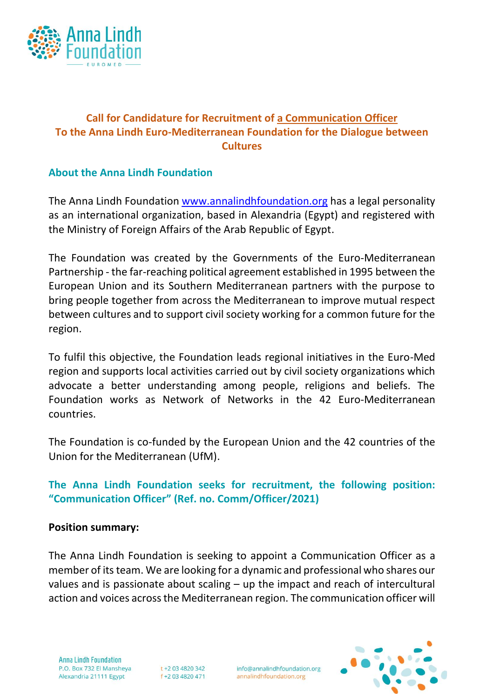

# **Call for Candidature for Recruitment of a Communication Officer To the Anna Lindh Euro-Mediterranean Foundation for the Dialogue between Cultures**

## **About the Anna Lindh Foundation**

The Anna Lindh Foundation [www.annalindhfoundation.org](http://www.annalindhfoundation.org/) has a legal personality as an international organization, based in Alexandria (Egypt) and registered with the Ministry of Foreign Affairs of the Arab Republic of Egypt.

The Foundation was created by the Governments of the Euro-Mediterranean Partnership - the far-reaching political agreement established in 1995 between the European Union and its Southern Mediterranean partners with the purpose to bring people together from across the Mediterranean to improve mutual respect between cultures and to support civil society working for a common future for the region.

To fulfil this objective, the Foundation leads regional initiatives in the Euro-Med region and supports local activities carried out by civil society organizations which advocate a better understanding among people, religions and beliefs. The Foundation works as Network of Networks in the 42 Euro-Mediterranean countries.

The Foundation is co-funded by the European Union and the 42 countries of the Union for the Mediterranean (UfM).

**The Anna Lindh Foundation seeks for recruitment, the following position: "Communication Officer" (Ref. no. Comm/Officer/2021)**

#### **Position summary:**

The Anna Lindh Foundation is seeking to appoint a Communication Officer as a member of its team. We are looking for a dynamic and professional who shares our values and is passionate about scaling – up the impact and reach of intercultural action and voices across the Mediterranean region. The communication officer will

**Anna Lindh Foundation** P.O. Box 732 El Mansheya Alexandria 21111 Egypt

t +2 03 4820 342 f +2 03 4820 471

info@annalindhfoundation.org annalindhfoundation.org

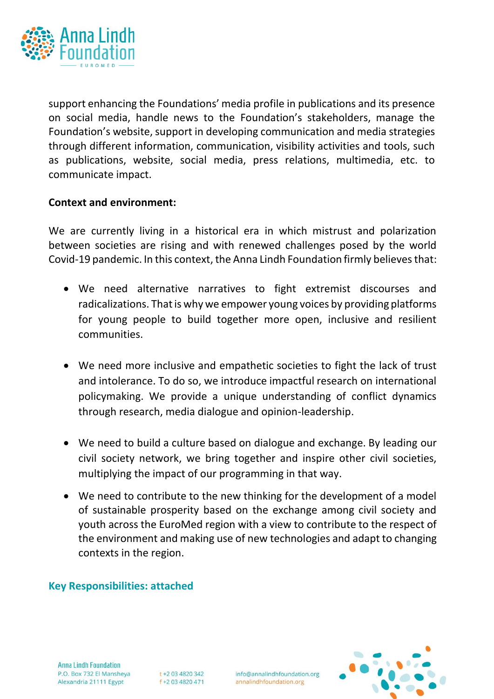

support enhancing the Foundations' media profile in publications and its presence on social media, handle news to the Foundation's stakeholders, manage the Foundation's website, support in developing communication and media strategies through different information, communication, visibility activities and tools, such as publications, website, social media, press relations, multimedia, etc. to communicate impact.

### **Context and environment:**

We are currently living in a historical era in which mistrust and polarization between societies are rising and with renewed challenges posed by the world Covid-19 pandemic. In this context, the Anna Lindh Foundation firmly believes that:

- We need alternative narratives to fight extremist discourses and radicalizations. That is why we empower young voices by providing platforms for young people to build together more open, inclusive and resilient communities.
- We need more inclusive and empathetic societies to fight the lack of trust and intolerance. To do so, we introduce impactful research on international policymaking. We provide a unique understanding of conflict dynamics through research, media dialogue and opinion-leadership.
- We need to build a culture based on dialogue and exchange. By leading our civil society network, we bring together and inspire other civil societies, multiplying the impact of our programming in that way.
- We need to contribute to the new thinking for the development of a model of sustainable prosperity based on the exchange among civil society and youth across the EuroMed region with a view to contribute to the respect of the environment and making use of new technologies and adapt to changing contexts in the region.

#### **Key Responsibilities: attached**

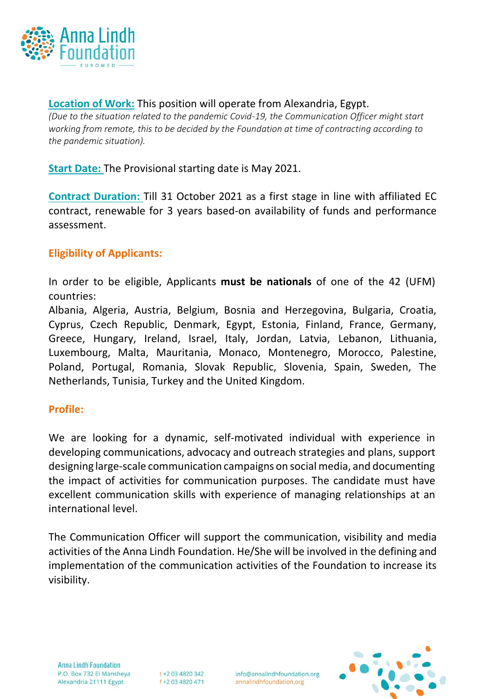

**Location of Work:** This position will operate from Alexandria, Egypt. *(Due to the situation related to the pandemic Covid-19, the Communication Officer might start working from remote, this to be decided by the Foundation at time of contracting according to the pandemic situation).*

**Start Date:** The Provisional starting date is May 2021.

**Contract Duration:** Till 31 October 2021 as a first stage in line with affiliated EC contract, renewable for 3 years based-on availability of funds and performance assessment.

### **Eligibility of Applicants:**

In order to be eligible, Applicants **must be nationals** of one of the 42 (UFM) countries:

Albania, Algeria, Austria, Belgium, Bosnia and Herzegovina, Bulgaria, Croatia, Cyprus, Czech Republic, Denmark, Egypt, Estonia, Finland, France, Germany, Greece, Hungary, Ireland, Israel, Italy, Jordan, Latvia, Lebanon, Lithuania, Luxembourg, Malta, Mauritania, Monaco, Montenegro, Morocco, Palestine, Poland, Portugal, Romania, Slovak Republic, Slovenia, Spain, Sweden, The Netherlands, Tunisia, Turkey and the United Kingdom.

#### **Profile:**

We are looking for a dynamic, self-motivated individual with experience in developing communications, advocacy and outreach strategies and plans, support designing large-scale communication campaigns on social media, and documenting the impact of activities for communication purposes. The candidate must have excellent communication skills with experience of managing relationships at an international level.

The Communication Officer will support the communication, visibility and media activities of the Anna Lindh Foundation. He/She will be involved in the defining and implementation of the communication activities of the Foundation to increase its visibility.



t +2 03 4820 342 f +2 03 4820 471 info@annalindhfoundation.org annalindhfoundation.org

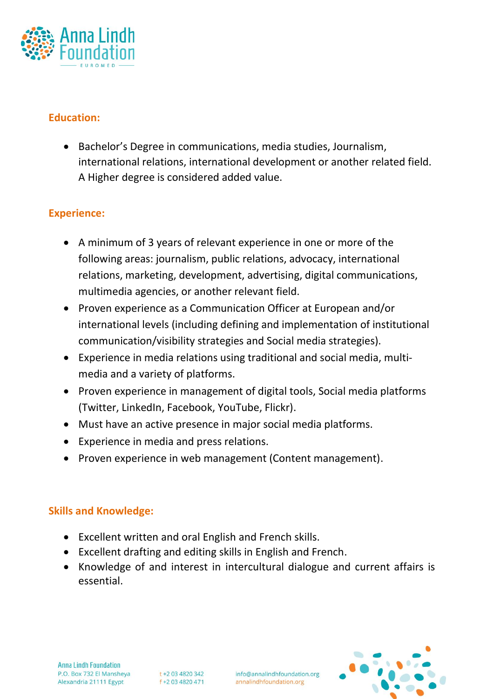

# **Education:**

• Bachelor's Degree in communications, media studies, Journalism, international relations, international development or another related field. A Higher degree is considered added value.

# **Experience:**

- A minimum of 3 years of relevant experience in one or more of the following areas: journalism, public relations, advocacy, international relations, marketing, development, advertising, digital communications, multimedia agencies, or another relevant field.
- Proven experience as a Communication Officer at European and/or international levels (including defining and implementation of institutional communication/visibility strategies and Social media strategies).
- Experience in media relations using traditional and social media, multimedia and a variety of platforms.
- Proven experience in management of digital tools, Social media platforms (Twitter, LinkedIn, Facebook, YouTube, Flickr).
- Must have an active presence in major social media platforms.
- Experience in media and press relations.
- Proven experience in web management (Content management).

### **Skills and Knowledge:**

- Excellent written and oral English and French skills.
- Excellent drafting and editing skills in English and French.
- Knowledge of and interest in intercultural dialogue and current affairs is essential.

info@annalindhfoundation.org annalindhfoundation.org

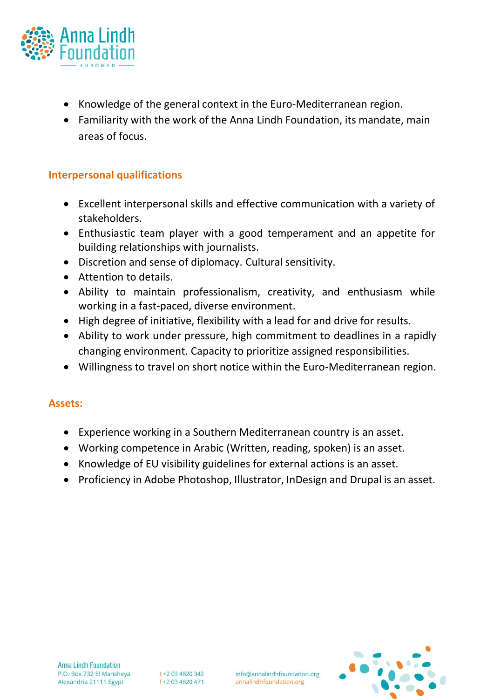

- Knowledge of the general context in the Euro-Mediterranean region.
- Familiarity with the work of the Anna Lindh Foundation, its mandate, main areas of focus.

### **Interpersonal qualifications**

- Excellent interpersonal skills and effective communication with a variety of stakeholders.
- Enthusiastic team player with a good temperament and an appetite for building relationships with journalists.
- Discretion and sense of diplomacy. Cultural sensitivity.
- Attention to details.
- Ability to maintain professionalism, creativity, and enthusiasm while working in a fast-paced, diverse environment.
- High degree of initiative, flexibility with a lead for and drive for results.
- Ability to work under pressure, high commitment to deadlines in a rapidly changing environment. Capacity to prioritize assigned responsibilities.
- Willingness to travel on short notice within the Euro-Mediterranean region.

### **Assets:**

- Experience working in a Southern Mediterranean country is an asset.
- Working competence in Arabic (Written, reading, spoken) is an asset.
- Knowledge of EU visibility guidelines for external actions is an asset.
- Proficiency in Adobe Photoshop, Illustrator, InDesign and Drupal is an asset.